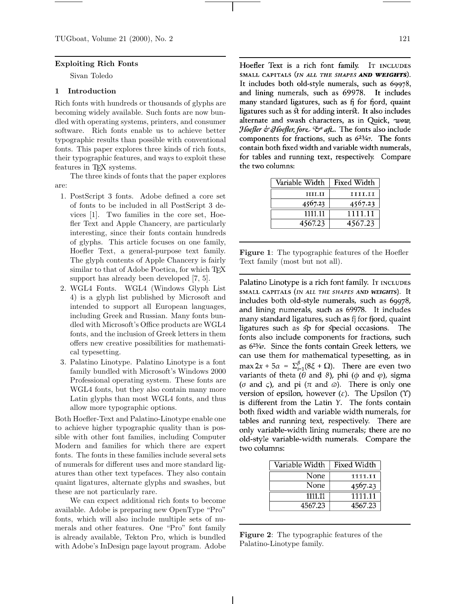#### **Exploiting Rich Fonts**

Sivan Toledo

# **1 Introduction**

Rich fonts with hundreds or thousands of glyphs are becoming widely available. Such fonts are now bundled with operating systems, printers, and consumer software. Rich fonts enable us to achieve better typographic results than possible with conventional fonts. This paper explores three kinds of rich fonts, their typographic features, and ways to exploit these features in TEX systems.

The three kinds of fonts that the paper explores are:

- 1. PostScript 3 fonts. Adobe defined a core set of fonts to be included in all PostScript 3 devices [1]. Two families in the core set, Hoefler Text and Apple Chancery, are particularly interesting, since their fonts contain hundreds of glyphs. This article focuses on one family, Hoefler Text, a general-purpose text family. The glyph contents of Apple Chancery is fairly similar to that of Adobe Poetica, for which TFX support has already been developed [7, 5].
- 2. WGL4 Fonts. WGL4 (Windows Glyph List 4) is a glyph list published by Microsoft and intended to support all European languages, including Greek and Russian. Many fonts bundled with Microsoft's Office products are WGL4 fonts, and the inclusion of Greek letters in them offers new creative possibilities for mathematical typesetting.
- 3. Palatino Linotype. Palatino Linotype is a font family bundled with Microsoft's Windows 2000 Professional operating system. These fonts are WGL4 fonts, but they also contain many more Latin glyphs than most WGL4 fonts, and thus allow more typographic options.

Both Hoefler-Text and Palatino-Linotype enable one to achieve higher typographic quality than is possible with other font families, including Computer Modern and families for which there are expert fonts. The fonts in these families include several sets of numerals for different uses and more standard ligatures than other text typefaces. They also contain quaint ligatures, alternate glyphs and swashes, but these are not particularly rare.

We can expect additional rich fonts to become available. Adobe is preparing new OpenType "Pro" fonts, which will also include multiple sets of numerals and other features. One "Pro" font family is already available, Tekton Pro, which is bundled with Adobe's InDesign page layout program. Adobe

Hoefler Text is a rich font family. IT INCLUDES SMALL CAPITALS (IN ALL THE SHAPES AND WEIGHTS). It includes both old-style numerals, such as 69978, and lining numerals, such as 69978. It includes many standard ligatures, such as fi for fiord, quaint ligatures such as st for adding interst. It also includes alternate and swash characters, as in Quick, wow, Hoefler & Hoefler, fore & aft. The fonts also include components for fractions, such as  $6^{23}/47$ . The fonts contain both fixed width and variable width numerals, for tables and running text, respectively. Compare the two columns:

| Variable Width | <b>Fixed Width</b> |
|----------------|--------------------|
| <b>HILII</b>   | 1111.II            |
| 4567.23        | 4567.23            |
| 1111.11        | 1111.11            |
| 4567.23        | 4567.23            |

**Figure 1**: The typographic features of the Hoefler Text family (most but not all).

Palatino Linotype is a rich font family. It INCLUDES SMALL CAPITALS (IN ALL THE SHAPES AND WEIGHTS). It includes both old-style numerals, such as 69978, and lining numerals, such as 69978. It includes many standard ligatures, such as fj for fjord, quaint ligatures such as sp for special occasions. The fonts also include components for fractions, such as 6<sup>23</sup>/<sub>47</sub>. Since the fonts contain Greek letters, we can use them for mathematical typesetting, as in max  $2x + 5\alpha = \sum_{i=1}^{\beta} (8\xi + \Omega)$ . There are even two variants of theta ( $\hat{\theta}$  and  $\hat{\theta}$ ), phi ( $\phi$  and  $\varphi$ ), sigma ( $\sigma$  and  $\zeta$ ), and pi ( $\pi$  and  $\omega$ ). There is only one version of epsilon, however  $(\varepsilon)$ . The Upsilon (Y) is different from the Latin Y. The fonts contain both fixed width and variable width numerals, for tables and running text, respectively. There are only variable-width lining numerals; there are no old-style variable-width numerals. Compare the two columns:

| Variable Width | Fixed Width |
|----------------|-------------|
| None           | 1111.11     |
| None           | 4567.23     |
| 1111 11        | 1111.11     |
| 4567.23        | 4567.23     |
|                |             |

**Figure 2**: The typographic features of the Palatino-Linotype family.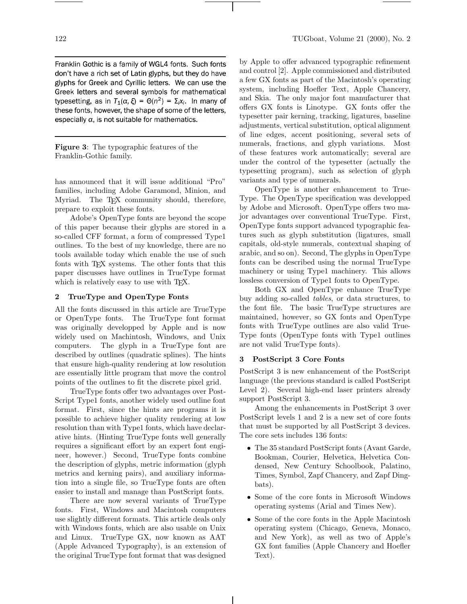Franklin Gothic is a family of WGL4 fonts. Such fonts don't have a rich set of Latin glyphs, but they do have glyphs for Greek and Cyrillic letters. We can use the Greek letters and several symbols for mathematical typesetting, as in  $T_1(\alpha, \xi) = \Theta(n^2) = \sum_i x_i$ . In many of these fonts, however, the shape of some of the letters, especially  $\alpha$ , is not suitable for mathematics.

**Figure 3**: The typographic features of the Franklin-Gothic family.

has announced that it will issue additional "Pro" families, including Adobe Garamond, Minion, and Myriad. The TEX community should, therefore, prepare to exploit these fonts.

Adobe's OpenType fonts are beyond the scope of this paper because their glyphs are stored in a so-called CFF format, a form of compressed Type1 outlines. To the best of my knowledge, there are no tools available today which enable the use of such fonts with T<sub>EX</sub> systems. The other fonts that this paper discusses have outlines in TrueType format which is relatively easy to use with T<sub>EX</sub>.

## **2 TrueType and OpenType Fonts**

All the fonts discussed in this article are TrueType or OpenType fonts. The TrueType font format was originally developped by Apple and is now widely used on Machintosh, Windows, and Unix computers. The glyph in a TrueType font are described by outlines (quadratic splines). The hints that ensure high-quality rendering at low resolution are essentially little program that move the control points of the outlines to fit the discrete pixel grid.

TrueType fonts offer two advantages over Post-Script Type1 fonts, another widely used outline font format. First, since the hints are programs it is possible to achieve higher quality rendering at low resolution than with Type1 fonts, which have declarative hints. (Hinting TrueType fonts well generally requires a significant effort by an expert font engineer, however.) Second, TrueType fonts combine the description of glyphs, metric information (glyph metrics and kerning pairs), and auxiliary information into a single file, so TrueType fonts are often easier to install and manage than PostScript fonts.

There are now several variants of TrueType fonts. First, Windows and Macintosh computers use slightly different formats. This article deals only with Windows fonts, which are also usable on Unix and Linux. TrueType GX, now known as AAT (Apple Advanced Typography), is an extension of the original TrueType font format that was designed by Apple to offer advanced typographic refinement and control [2]. Apple commissioned and distributed a few GX fonts as part of the Macintosh's operating system, including Hoefler Text, Apple Chancery, and Skia. The only major font manufacturer that offers GX fonts is Linotype. GX fonts offer the typesetter pair kerning, tracking, ligatures, baseline adjustments, vertical substitution, optical alignment of line edges, accent positioning, several sets of numerals, fractions, and glyph variations. Most of these features work automatically; several are under the control of the typesetter (actually the typesetting program), such as selection of glyph variants and type of numerals.

OpenType is another enhancement to True-Type. The OpenType specification was developped by Adobe and Microsoft. OpenType offers two major advantages over conventional TrueType. First, OpenType fonts support advanced typographic features such as glyph substitution (ligatures, small capitals, old-style numerals, contextual shaping of arabic, and so on). Second, The glyphs in OpenType fonts can be described using the normal TrueType machinery or using Type1 machinery. This allows lossless conversion of Type1 fonts to OpenType.

Both GX and OpenType enhance TrueType buy adding so-called *tables*, or data structures, to the font file. The basic TrueType structures are maintained, however, so GX fonts and OpenType fonts with TrueType outlines are also valid True-Type fonts (OpenType fonts with Type1 outlines are not valid TrueType fonts).

#### **3 PostScript 3 Core Fonts**

PostScript 3 is new enhancement of the PostScript language (the previous standard is called PostScript Level 2). Several high-end laser printers already support PostScript 3.

Among the enhancements in PostScript 3 over PostScript levels 1 and 2 is a new set of core fonts that must be supported by all PostScript 3 devices. The core sets includes 136 fonts:

- *•* The 35 standard PostScript fonts (Avant Garde, Bookman, Courier, Helvetica, Helvetica Condensed, New Century Schoolbook, Palatino, Times, Symbol, Zapf Chancery, and Zapf Dingbats).
- *•* Some of the core fonts in Microsoft Windows operating systems (Arial and Times New).
- Some of the core fonts in the Apple Macintosh operating system (Chicago, Geneva, Monaco, and New York), as well as two of Apple's GX font families (Apple Chancery and Hoefler Text).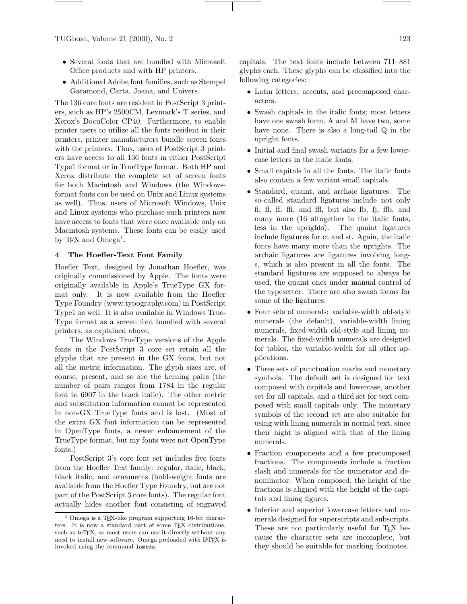TUGboat, Volume 21 (2000), No. 2 123

- *•* Several fonts that are bundled with Microsoft Office products and with HP printers.
- Additional Adobe font families, such as Stempel Garamond, Carta, Joana, and Univers.

The 136 core fonts are resident in PostScript 3 printers, such as HP's 2500CM, Lexmark's T series, and Xerox's DocuColor CP40. Furthermore, to enable printer users to utilize all the fonts resident in their printers, printer manufacturers bundle screen fonts with the printers. Thus, users of PostScript 3 printers have access to all 136 fonts in either PostScript Type1 format or in TrueType format. Both HP and Xerox distribute the complete set of screen fonts for both Macintosh and Windows (the Windowsformat fonts can be used on Unix and Linux systems as well). Thus, users of Microsoft Windows, Unix and Linux systems who purchase such printers now have access to fonts that were once available only on Macintosh systems. These fonts can be easily used by T<sub>F</sub>X and Omega<sup>1</sup>.

## **4 The Hoefler-Text Font Family**

Hoefler Text, designed by Jonathan Hoefler, was originally commissioned by Apple. The fonts were originally available in Apple's TrueType GX format only. It is now available from the Hoefler Type Foundry (www.typography.com) in PostScript Type1 as well. It is also available in Windows True-Type format as a screen font bundled with several printers, as explained above.

The Windows TrueType versions of the Apple fonts in the PostScript 3 core set retain all the glyphs that are present in the GX fonts, but not all the metric information. The glyph sizes are, of course, present, and so are the kerning pairs (the number of pairs ranges from 1784 in the regular font to 6907 in the black italic). The other metric and substitution information cannot be represented in non-GX TrueType fonts and is lost. (Most of the extra GX font information can be represented in OpenType fonts, a newer enhancement of the TrueType format, but my fonts were not OpenType fonts.)

PostScript 3's core font set includes five fonts from the Hoefler Text family: regular, italic, black, black italic, and ornaments (bold-weight fonts are available from the Hoefler Type Foundry, but are not part of the PostScript 3 core fonts). The regular font actually hides another font consisting of engraved capitals. The text fonts include between 711–881 glyphs each. These glyphs can be classified into the following categories:

- Latin letters, accents, and precomposed characters.
- *•* Swash capitals in the italic fonts; most letters have one swash form, A and M have two, some have none. There is also a long-tail Q in the upright fonts.
- *•* Initial and final swash variants for a few lowercase letters in the italic fonts.
- *•* Small capitals in all the fonts. The italic fonts also contain a few variant small capitals.
- *•* Standard, quaint, and archaic ligatures. The so-called standard ligatures include not only fi, fl, ff, ffi, and ffl, but also fb, fj, ffb, and many more (16 altogether in the italic fonts, less in the uprights). The quaint ligatures include ligatures for ct and st. Again, the italic fonts have many more than the uprights. The archaic ligatures are ligatures involving longs, which is also present in all the fonts. The standard ligatures are supposed to always be used, the quaint ones under manual control of the typesetter. There are also swash forms for some of the ligatures.
- *•* Four sets of numerals: variable-width old-style numerals (the default), variable-width lining numerals, fixed-width old-style and lining numerals. The fixed-width numerals are designed for tables, the variable-width for all other applications.
- *•* Three sets of punctuation marks and monetary symbols. The default set is designed for text composed with capitals and lowercase, another set for all capitals, and a third set for text composed with small capitals only. The monetary symbols of the second set are also suitable for using with lining numerals in normal text, since their hight is aligned with that of the lining numerals.
- *•* Fraction components and a few precomposed fractions. The components include a fraction slash and numerals for the numerator and denominator. When composed, the height of the fractions is aligned with the height of the capitals and lining figures.
- *•* Inferior and superior lowercase letters and numerals designed for superscripts and subscripts. These are not particularly useful for TEX because the character sets are incomplete, but they should be suitable for marking footnotes.

 $1$  Omega is a T<sub>E</sub>X-like program supporting 16-bit characters. It is now a standard part of some TEX distributions, such as teTEX, so most users can use it directly without any need to install new software. Omega preloaded with LATEX is invoked using the command lambda.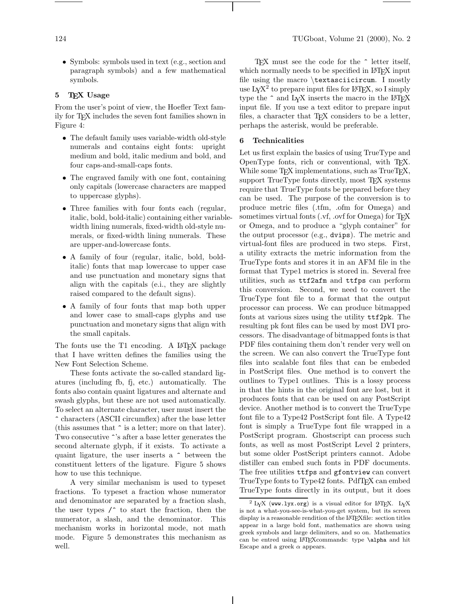*•* Symbols: symbols used in text (e.g., section and paragraph symbols) and a few mathematical symbols.

# **5 TEX Usage**

From the user's point of view, the Hoefler Text family forTEX includes the seven font families shown in Figure 4:

- *•* The default family uses variable-width old-style numerals and contains eight fonts: upright medium and bold, italic medium and bold, and four caps-and-small-caps fonts.
- The engraved family with one font, containing only capitals (lowercase characters are mapped to uppercase glyphs).
- Three families with four fonts each (regular, italic, bold, bold-italic) containing either variablewidth lining numerals, fixed-width old-style numerals, or fixed-width lining numerals. These are upper-and-lowercase fonts.
- A family of four (regular, italic, bold, bolditalic) fonts that map lowercase to upper case and use punctuation and monetary signs that align with the capitals (e.i., they are slightly raised compared to the default signs).
- A family of four fonts that map both upper and lower case to small-caps glyphs and use punctuation and monetary signs that align with the small capitals.

The fonts use the T1 encoding. A L<sup>AT</sup>FX package that I have written defines the families using the New Font Selection Scheme.

These fonts activate the so-called standard ligatures (including fb, fj, etc.) automatically. The fonts also contain quaint ligatures and alternate and swash glyphs, but these are not used automatically. To select an alternate character, user must insert the ^ characters (ASCII circumflex) after the base letter (this assumes that ^ is a letter; more on that later). Two consecutive  $\hat{\ }$ 's after a base letter generates the second alternate glyph, if it exists. To activate a quaint ligature, the user inserts a ^ between the constituent letters of the ligature. Figure 5 shows how to use this technique.

A very similar mechanism is used to typeset fractions. To typeset a fraction whose numerator and denominator are separated by a fraction slash, the user types  $\prime$  to start the fraction, then the numerator, a slash, and the denominator. This mechanism works in horizontal mode, not math mode. Figure 5 demonstrates this mechanism as well.

TEX must see the code for the  $\hat{\ }$  letter itself, which normally needs to be specified in LATEX input file using the macro *\*textasciicircum. I mostly use  $LyX^2$  to prepare input files for  $\cancel{B_T}X$ , so I simply type the  $\hat{\ }$  and L<sub>Y</sub>X inserts the macro in the LAT<sub>EX</sub> input file. If you use a text editor to prepare input files, a character that T<sub>E</sub>X considers to be a letter, perhaps the asterisk, would be preferable.

#### **6 Technicalities**

Let us first explain the basics of using TrueType and OpenType fonts, rich or conventional, with TEX. While some TFX implementations, such as TrueTFX, support TrueType fonts directly, most T<sub>EX</sub> systems require that TrueType fonts be prepared before they can be used. The purpose of the conversion is to produce metric files (.tfm, .ofm for Omega) and sometimes virtual fonts  $(xf, \text{.ovf for Omega})$  for T<sub>EX</sub> or Omega, and to produce a "glyph container" for the output processor (e.g., dvips). The metric and virtual-font files are produced in two steps. First, a utility extracts the metric information from the TrueType fonts and stores it in an AFM file in the format that Type1 metrics is stored in. Several free utilities, such as ttf2afm and ttfps can perform this conversion. Second, we need to convert the TrueType font file to a format that the output processor can process. We can produce bitmapped fonts at various sizes using the utility ttf2pk. The resulting pk font files can be used by most DVI processors. The disadvantage of bitmapped fonts is that PDF files containing them don't render very well on the screen. We can also convert the TrueType font files into scalable font files that can be embeded in PostScript files. One method is to convert the outlines to Type1 outlines. This is a lossy process in that the hints in the original font are lost, but it produces fonts that can be used on any PostScript device. Another method is to convert the TrueType font file to a Type42 PostScript font file. A Type42 font is simply a TrueType font file wrapped in a PostScript program. Ghostscript can process such fonts, as well as most PostScript Level 2 printers, but some older PostScript printers cannot. Adobe distiller can embed such fonts in PDF documents. The free utilities ttfps and gfontview can convert TrueType fonts to Type42 fonts. PdfT<sub>E</sub>X can embed TrueType fonts directly in its output, but it does

 $^2$  LyX (www.lyx.org) is a visual editor for L<sup>AT</sup>EX. LyX is not a what-you-see-is-what-you-get system, but its screen display is a reasonable rendition of the LAT<sub>E</sub>Xfile: section titles appear in a large bold font, mathematics are shown using greek symbols and large delimiters, and so on. Mathematics can be entred using LATEXcommands: type **\alpha** and hit Escape and a greek  $\alpha$  appears.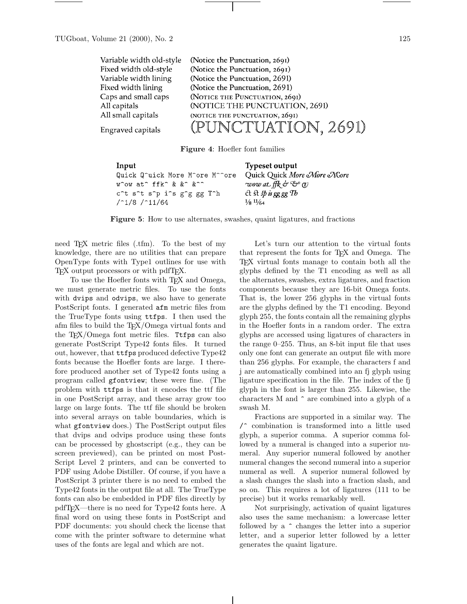| Variable width old-style | (Notice the Punctuation, 2691) |
|--------------------------|--------------------------------|
| Fixed width old-style    | (Notice the Punctuation, 2691) |
| Variable width lining    | (Notice the Punctuation, 2691) |
| Fixed width lining       | (Notice the Punctuation, 2691) |
| Caps and small caps      | (NOTICE THE PUNCTUATION, 2691) |
| All capitals             | (NOTICE THE PUNCTUATION, 2691) |
| All small capitals       | (NOTICE THE PUNCTUATION, 2691) |
| Engraved capitals        | UNCTUATION,<br>2691)           |

**Figure 4:** Hoefler font families

| Input                                                                                                    | <b>Typeset output</b>             |
|----------------------------------------------------------------------------------------------------------|-----------------------------------|
| Quick Q^uick More M^ore M^^ore                                                                           | Quick Quick More More Nore        |
| w ow at $f^*$ ffk $\alpha$ $\alpha$ $\alpha$ $\alpha$ $\alpha$                                           | wow at ffk & & w                  |
| c <sup>-</sup> t s <sup>-</sup> t s <sup>-</sup> p i <sup>-</sup> s g <sup>-</sup> g gg T <sup>-</sup> h | $ct$ st $\mathcal{D}$ is gg gg Th |
| $/^{\sim}1/8$ / $^{\sim}11/64$                                                                           | $\frac{1}{8}$ $\frac{11}{64}$     |

**Figure 5**: How to use alternates, swashes, quaint ligatures, and fractions

need T<sub>E</sub>X metric files (.tfm). To the best of my knowledge, there are no utilities that can prepare OpenType fonts with Type1 outlines foruse with T<sub>EX</sub> output processors or with pdfT<sub>EX</sub>.

To use the Hoefler fonts with T<sub>E</sub>X and Omega, we must generate metric files. To use the fonts with dvips and odvips, we also have to generate PostScript fonts. I generated afm metric files from the TrueType fonts using ttfps. I then used the afm files to build the TEX/Omega virtual fonts and the TEX/Omega font metric files. Ttfps can also generate PostScript Type42 fonts files. It turned out, however, that ttfps produced defective Type42 fonts because the Hoefler fonts are large. I therefore produced another set of Type42 fonts using a program called gfontview; these were fine. (The problem with ttfps is that it encodes the ttf file in one PostScript array, and these array grow too large on large fonts. The ttf file should be broken into several arrays on table boundaries, which is what gfontview does.) The PostScript output files that dvips and odvips produce using these fonts can be processed by ghostscript (e.g., they can be screen previewed), can be printed on most Post-Script Level 2 printers, and can be converted to PDF using Adobe Distiller. Of course, if you have a PostScript 3 printer there is no need to embed the Type42 fonts in the output file at all. The TrueType fonts can also be embedded in PDF files directly by pdfTEX—there is no need for Type42 fonts here. A final word on using these fonts in PostScript and PDF documents: you should check the license that come with the printer software to determine what uses of the fonts are legal and which are not.

Let's turn our attention to the virtual fonts that represent the fonts for TEX and Omega. The TEX virtual fonts manage to contain both all the glyphs defined by the T1 encoding as well as all the alternates, swashes, extra ligatures, and fraction components because they are 16-bit Omega fonts. That is, the lower 256 glyphs in the virtual fonts are the glyphs defined by the T1 encoding. Beyond glyph 255, the fonts contain all the remaining glyphs in the Hoefler fonts in a random order. The extra glyphs are accessed using ligatures of characters in the range 0–255. Thus, an 8-bit input file that uses only one font can generate an output file with more than 256 glyphs. For example, the characters f and j are automatically combined into an fj glyph using ligature specification in the file. The index of the fj glyph in the font is larger than 255. Likewise, the characters M and ^ are combined into a glyph of a swash M.

Fractions are supported in a similar way. The /^ combination is transformed into a little used glyph, a superior comma. A superior comma followed by a numeral is changed into a superior numeral. Any superior numeral followed by another numeral changes the second numeral into a superior numeral as well. A superior numeral followed by a slash changes the slash into a fraction slash, and so on. This requires a lot of ligatures (111 to be precise) but it works remarkably well.

Not surprisingly, activation of quaint ligatures also uses the same mechanism: a lowercase letter followed by a  $\hat{ }$  changes the letter into a superior letter, and a superior letter followed by a letter generates the quaint ligature.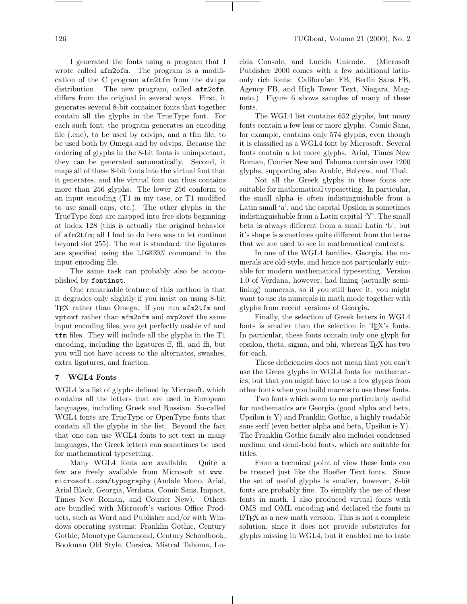I generated the fonts using a program that I wrote called afm2ofm. The program is a modification of the C program afm2tfm from the dvips distribution. The new program, called  $affm2ofm$ , differs from the original in several ways. First, it generates several 8-bit container fonts that together contain all the glyphs in the TrueType font. For each such font, the program generates an encoding file (.enc), to be used by odvips, and a tfm file, to be used both by Omega and by odvips. Because the ordering of glyphs in the 8-bit fonts is unimportant, they can be generated automatically. Second, it maps all of these 8-bit fonts into the virtual font that it generates, and the virtual font can thus contains more than 256 glyphs. The lower 256 conform to an input encoding  $(T1$  in my case, or  $T1$  modified to use small caps, etc.). The otherglyphs in the TrueType font are mapped into free slots beginning at index 128 (this is actually the original behavior of afm2tfm; all I had to do here was to let continue beyond slot 255). The rest is standard: the ligatures are specified using the LIGKERN command in the input encoding file.

The same task can probably also be accomplished by fontinst.

One remarkable feature of this method is that it degrades only slightly if you insist on using 8-bit TEX rather than Omega. If you run afm2tfm and vptovf rather than afm2ofm and ovp2ovf the same input encoding files, you get perfectly usable vf and tfm files. They will include all the glyphs in the T1 encoding, including the ligatures ff, ffl, and ffi, but you will not have access to the alternates, swashes, extra ligatures, and fraction.

# **7 WGL4 Fonts**

WGL4 is a list of glyphs defined by Microsoft, which contains all the letters that are used in European languages, including Greek and Russian. So-called WGL4 fonts are TrueType or OpenType fonts that contain all the glyphs in the list. Beyond the fact that one can use WGL4 fonts to set text in many languages, the Greek letters can sometimes be used for mathematical typesetting.

Many WGL4 fonts are available. Quite a few are freely available from Microsoft at www. microsoft.com/typography (Andale Mono, Arial, Arial Black, Georgia, Verdana, Comic Sans, Impact, Times New Roman, and Courier New). Others are bundled with Microsoft's various Office Products, such as Word and Publisher and/or with Windows operating systems: Franklin Gothic, Century Gothic, Monotype Garamond, Century Schoolbook, Bookman Old Style, Corsiva, Mistral Tahoma, Lucida Console, and Lucida Unicode. (Microsoft Publisher 2000 comes with a few additional latinonly rich fonts: Californian FB, Berlin Sans FB, Agency FB, and High Tower Text, Niagara, Magneto.) Figure 6 shows samples of many of these fonts.

The WGL4 list contains 652 glyphs, but many fonts contain a few less or more glyphs. Comic Sans, for example, contains only 574 glyphs, even though it is classified as a WGL4 font by Microsoft. Several fonts contain a lot more glyphs. Arial, Times New Roman, Courier New and Tahoma contain over 1200 glyphs, supporting also Arabic, Hebrew, and Thai.

Not all the Greek glyphs in these fonts are suitable for mathematical typesetting. In particular, the small alpha is often indistinguishable from a Latin small 'a', and the capital Upsilon is sometimes indistinguishable from a Latin capital 'Y'. The small beta is always different from a small Latin 'b', but it's shape is sometimes quite different from the betas that we are used to see in mathematical contexts.

In one of the WGL4 families, Georgia, the numerals are old-style, and hence not particularly suitable for modern mathematical typesetting. Version 1.0 of Verdana, however, had lining (actually semilining) numerals, so if you still have it, you might want to use its numerals in math mode together with glyphs from recent versions of Georgia.

Finally, the selection of Greek letters in WGL4 fonts is smaller than the selection in TEX's fonts. In particular, these fonts contain only one glyph for epsilon, theta, sigma, and phi, whereas TEX has two for each.

These deficiencies does not mean that you can't use the Greek glyphs in WGL4 fonts for mathematics, but that you might have to use a few glyphs from other fonts when you build macros to use these fonts.

Two fonts which seem to me particularly useful for mathematics are Georgia (good alpha and beta, Upsilon is Y) and Franklin Gothic, a highly readable sans serif (even better alpha and beta, Upsilon is Y). The Franklin Gothic family also includes condensed medium and demi-bold fonts, which are suitable for titles.

From a technical point of view these fonts can be treated just like the Hoefler Text fonts. Since the set of useful glyphs is smaller, however, 8-bit fonts are probably fine. To simplify the use of these fonts in math, I also produced virtual fonts with OMS and OML encoding and declared the fonts in LATEX as a new math version. This is not a complete solution, since it does not provide substitutes for glyphs missing in WGL4, but it enabled me to taste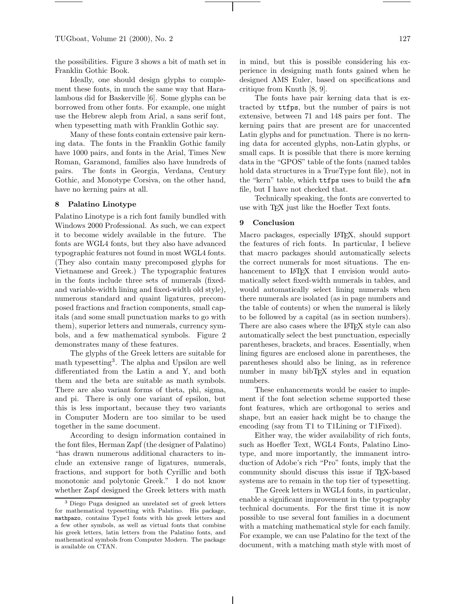the possibilities. Figure 3 shows a bit of math set in Franklin Gothic Book.

Ideally, one should design glyphs to complement these fonts, in much the same way that Haralambous did for Baskerville [6]. Some glyphs can be borrowed from other fonts. For example, one might use the Hebrew aleph from Arial, a sans serif font, when typesetting math with Franklin Gothic say.

Many of these fonts contain extensive pair kerning data. The fonts in the Franklin Gothic family have 1000 pairs, and fonts in the Arial, Times New Roman, Garamond, families also have hundreds of pairs. The fonts in Georgia, Verdana, Century Gothic, and Monotype Corsiva, on the other hand, have no kerning pairs at all.

## **8 Palatino Linotype**

Palatino Linotype is a rich font family bundled with Windows 2000 Professional. As such, we can expect it to become widely available in the future. The fonts are WGL4 fonts, but they also have advanced typographic features not found in most WGL4 fonts. (They also contain many precomposed glyphs for Vietnamese and Greek.) The typographic features in the fonts include three sets of numerals (fixedand variable-width lining and fixed-width old style), numerous standard and quaint ligatures, precomposed fractions and fraction components, small capitals (and some small punctuation marks to go with them), superior letters and numerals, currency symbols, and a few mathematical symbols. Figure 2 demonstrates many of these features.

The glyphs of the Greek letters are suitable for math typesetting<sup>3</sup>. The alpha and Upsilon are well differentiated from the Latin a and Y, and both them and the beta are suitable as math symbols. There are also variant forms of theta, phi, sigma, and pi. There is only one variant of epsilon, but this is less important, because they two variants in Computer Modern are too similar to be used together in the same document.

According to design information contained in the font files, Herman Zapf (the designer of Palatino) "has drawn numerous additional characters to include an extensive range of ligatures, numerals, fractions, and support for both Cyrillic and both monotonic and polytonic Greek." I do not know whether Zapf designed the Greek letters with math in mind, but this is possible considering his experience in designing math fonts gained when he designed AMS Euler, based on specifications and critique from Knuth [8, 9].

The fonts have pair kerning data that is extracted by ttfps, but the number of pairs is not extensive, between 71 and 148 pairs per font. The kerning pairs that are present are for unaccented Latin glyphs and for punctuation. There is no kerning data for accented glyphs, non-Latin glyphs, or small caps. It is possible that there is more kerning data in the "GPOS" table of the fonts (named tables hold data structures in a TrueType font file), not in the "kern" table, which ttfps uses to build the afm file, but I have not checked that.

Technically speaking, the fonts are converted to use with TEX just like the Hoefler Text fonts.

#### **9 Conclusion**

Macro packages, especially L<sup>AT</sup>EX, should support the features of rich fonts. In particular, I believe that macro packages should automatically selects the correct numerals for most situations. The enhancement to LAT<sub>EX</sub> that I envision would automatically select fixed-width numerals in tables, and would automatically select lining numerals when there numerals are isolated (as in page numbers and the table of contents) or when the numeral is likely to be followed by a capital (as in section numbers). There are also cases where the L<sup>AT</sup>EX style can also automatically select the best punctuation, especially parentheses, brackets, and braces. Essentially, when lining figures are enclosed alone in parentheses, the parentheses should also be lining, as in reference number in many bibTEX styles and in equation numbers.

These enhancements would be easier to implement if the font selection scheme supported these font features, which are orthogonal to series and shape, but an easier hack might be to change the encoding (say from T1 to T1Lining or T1Fixed).

Either way, the wider availability of rich fonts, such as Hoefler Text, WGL4 Fonts, Palatino Linotype, and more importantly, the immanent introduction of Adobe's rich "Pro" fonts, imply that the community should discuss this issue if TEX-based systems are to remain in the top tier of typesetting.

The Greek letters in WGL4 fonts, in particular, enable a significant improvement in the typography technical documents. For the first time it is now possible to use several font families in a document with a matching mathematical style for each family. For example, we can use Palatino for the text of the document, with a matching math style with most of

<sup>&</sup>lt;sup>3</sup> Diego Puga designed an unrelated set of greek letters for mathematical typesetting with Palatino. His package, mathpazo, contains Type1 fonts with his greek letters and a few other symbols, as well as virtual fonts that combine his greek letters, latin letters from the Palatino fonts, and mathematical symbols from Computer Modern. The package is available on CTAN.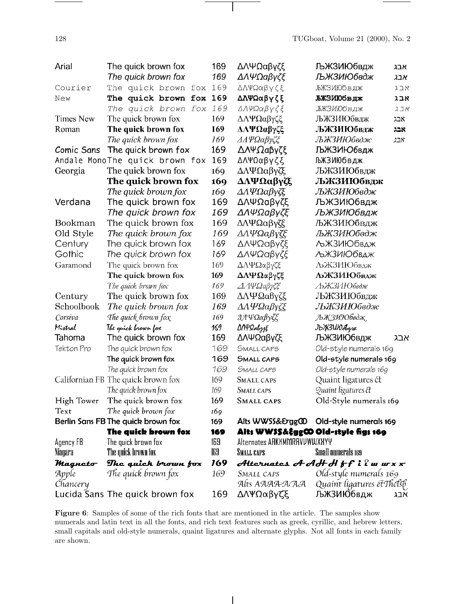| Arial                              | The quick brown fox                |  |     | 169         | ΔΛΨΩαβγζξ                          | ЉЖЗИЮбвдж                                              | אבג |  |
|------------------------------------|------------------------------------|--|-----|-------------|------------------------------------|--------------------------------------------------------|-----|--|
|                                    | The quick brown fox                |  |     | 169         | ΔΛΨΩαβγζξ                          | ЉЖЗИЮбвдж                                              | אבג |  |
| Courier                            | The quick brown fox                |  |     | 169         | ΔΛΨΩαβγζξ                          | ЉЖЗИЮбвдж                                              | אבג |  |
| New                                | The quick brown fox 169            |  |     |             | ΔΛΨΩαβγζξ                          | ЉЖЗИЮбвдж                                              | אבג |  |
|                                    | The quick brown fox 169            |  |     |             | ΔΛΨΩαβγζξ                          | ЉЖЗИЮбвдж                                              | אבג |  |
| <b>Times New</b>                   | The quick brown fox                |  |     | 169         | ΔΛΨΩαβγζξ                          | ЉЖЗИЮбвдж                                              | אבג |  |
| Roman                              | The quick brown fox                |  |     | 169         | ΔΛΨΩαβγζξ                          | ЉЖЗИЮбвдж                                              | אבג |  |
|                                    | The quick brown fox                |  |     | 169         | ΔΑΨΩαβγζξ                          | ЉЖЗИЮбвдж                                              | אבג |  |
| Comic Sans                         | The quick brown fox                |  |     | 169         | ΔΛΨΩαβγζξ                          | <b>ЉЖЗИЮбвдж</b>                                       |     |  |
| Andale MonoThe quick brown fox     |                                    |  | 169 | ΔΛΨΩαβγζξ   | ЉЖЗИЮбвдж                          |                                                        |     |  |
| The quick brown fox<br>Georgia     |                                    |  | 169 | ΔΛΨΩαβγζξ   | ЉЖЗИЮбвдж                          |                                                        |     |  |
|                                    | The quick brown fox                |  |     | 169         | ΔΛΨΩαβγζξ                          | ЉЖЗИЮбвдж                                              |     |  |
|                                    | The quick brown fox                |  |     | 169         | ΔΛΨΩαβγζξ                          | ЉЖЗИЮбвдж                                              |     |  |
| Verdana                            | The quick brown fox                |  |     | 169         | ΔΛΨΩαβγζξ                          | ЉЖЗИЮбвдж                                              |     |  |
|                                    | The quick brown fox                |  |     | 169         | ΔΛΨΩαβγζξ                          | ЉЖЗИЮбвдж                                              |     |  |
| Bookman                            | The quick brown fox                |  |     | 169         | ΔΛΨΩαβγζξ                          | ЉЖЗИЮбвдж                                              |     |  |
| Old Style                          | The quick brown fox                |  |     | 169         | ΔΛΨΩαβγζξ                          | ЉЖЗИЮбвдж                                              |     |  |
| Century                            | The quick brown fox                |  |     | 169         | ΔΛΨΩαβγζξ                          | <b>ЉЖЗИЮбвдж</b>                                       |     |  |
| Gothic                             | The quick brown fox                |  |     | 169         | ΔΛΨΩαβγζξ                          | <b>ЉЖЗИЮбвдж</b>                                       |     |  |
| Garamond                           | The quick brown fox                |  |     | 169         | ΔΛΨΩαβγζξ                          | <b>ЉЖЗИЮбвдж</b>                                       |     |  |
|                                    | The quick brown fox                |  |     | 169         | ΔΛΨΩαβγζξ                          | <b>ЉЖЗИЮбвдж</b>                                       |     |  |
|                                    | The quick brown fox                |  |     | 169         | ΔΛΨΩαβγζξ                          | ЉЖЗИЮбвдж                                              |     |  |
| Century                            | The quick brown fox                |  |     | 169         | ΔΛΨΩαβγζξ                          | ЉЖЗИЮбвдж                                              |     |  |
| Schoolbook                         | The quick brown fox                |  | 169 | ΔΛΨΩαβγζξ   | ЉЖЗИЮбвдж                          |                                                        |     |  |
| Corsiva                            | The quick brown fox                |  | 169 | 2) ΠΨΩαβγζξ | ЉЖЗИЮбвдж                          |                                                        |     |  |
| Mistral                            | The quick brown fox                |  | 169 | DNYDalzzE   | JDNSUHolgsu                        |                                                        |     |  |
| Tahoma                             | The quick brown fox                |  |     | 169         | ΔΛΨΩαβγζξ                          | ЉЖЗИЮбвдж                                              | אבג |  |
| Tekton Pro                         | The quick brown fox                |  |     | 169         | <b>SMALL CAPS</b>                  | Old-style numerals 169                                 |     |  |
|                                    | The quick brown fox                |  |     | 169         | <b>SMALL CAPS</b>                  | Old-style numerals 169                                 |     |  |
|                                    | The quick brown fox                |  |     | 169         | <b>SMALL CAPS</b>                  | Old-style numerals 169                                 |     |  |
|                                    | Californian FB The quick brown fox |  |     | 169         | <b>SMALL CAPS</b>                  | Quaint ligatures ct                                    |     |  |
|                                    | The quick brown fox                |  |     | 169         | SMALL CAPS                         | Quaint ligatures Et                                    |     |  |
| High Tower The quick brown fox     |                                    |  |     | 169         | SMALL CAPS                         | Old-Style numerals 169                                 |     |  |
| Text                               | The quick brown fox                |  |     | 169         |                                    |                                                        |     |  |
| Berlin Sans FB The quick brown fox |                                    |  |     | 169         |                                    | Alts WWSS&&ggCO Old-style numerals 169                 |     |  |
|                                    | The quick brown fox                |  | 169 |             | Alt: WWSS&EggCO Old-style figs 169 |                                                        |     |  |
| Agency FB                          | The quick brown fox                |  |     | 169         | Alternates ARKKMMRRVVWWXXYY        |                                                        |     |  |
| Niagara                            | The quick brown fox                |  |     | 169         | <b>SMALL CAPS</b>                  | Small numerals 169                                     |     |  |
| Magneto                            | The quick brown fox                |  |     | 169         |                                    | Alternates $A$ $A$ $H$ $H$ $f$ $i$ $i$ $u$ $w$ $x$ $x$ |     |  |
| Apple                              | The quick brown fox                |  |     | 169         | SMALL CAPS                         | Old-style numerals 169                                 |     |  |
| Chancery                           |                                    |  |     |             | Alts AAAAAAA                       | Quaint ligatures et Thelsb                             |     |  |
|                                    | Lucida Sans The quick brown fox    |  |     | 169         | ΔΛΨΩαβγζξ                          | ЉЖЗИЮбвдж                                              | אבג |  |

 $\mathbf{I}$ 

**Figure 6**: Samples of some of the rich fonts that are mentioned in the article. The samples show numerals and latin text in all the fonts, and rich text features such as greek, cyrillic, and hebrew letters, small capitals and old-style numerals, quaint ligatures and alternate glyphs. Not all fonts in each family are shown.

 $\overline{\phantom{a}}$